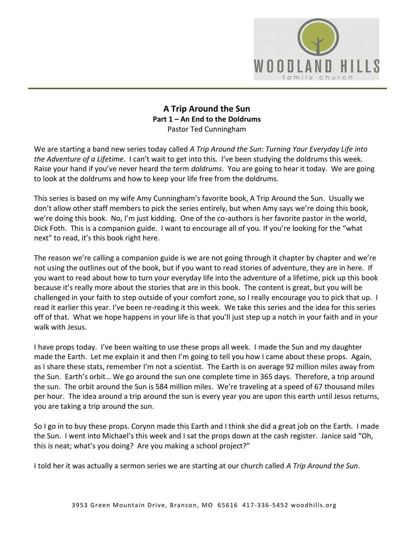

### **A Trip Around the Sun Part 1 – An End to the Doldrums**  Pastor Ted Cunningham

We are starting a band new series today called *A Trip Around the Sun*: *Turning Your Everyday Life into the Adventure of a Lifetime*. I can't wait to get into this. I've been studying the doldrums this week. Raise your hand if you've never heard the term *doldrums*. You are going to hear it today. We are going to look at the doldrums and how to keep your life free from the doldrums.

This series is based on my wife Amy Cunningham's favorite book, A Trip Around the Sun. Usually we don't allow other staff members to pick the series entirely, but when Amy says we're doing this book, we're doing this book. No, I'm just kidding. One of the co-authors is her favorite pastor in the world, Dick Foth. This is a companion guide. I want to encourage all of you. If you're looking for the "what next" to read, it's this book right here.

The reason we're calling a companion guide is we are not going through it chapter by chapter and we're not using the outlines out of the book, but if you want to read stories of adventure, they are in here. If you want to read about how to turn your everyday life into the adventure of a lifetime, pick up this book because it's really more about the stories that are in this book. The content is great, but you will be challenged in your faith to step outside of your comfort zone, so I really encourage you to pick that up. I read it earlier this year. I've been re-reading it this week. We take this series and the idea for this series off of that. What we hope happens in your life is that you'll just step up a notch in your faith and in your walk with Jesus.

I have props today. I've been waiting to use these props all week. I made the Sun and my daughter made the Earth. Let me explain it and then I'm going to tell you how I came about these props. Again, as I share these stats, remember I'm not a scientist. The Earth is on average 92 million miles away from the Sun. Earth's orbit… We go around the sun one complete time in 365 days. Therefore, a trip around the sun. The orbit around the Sun is 584 million miles. We're traveling at a speed of 67 thousand miles per hour. The idea around a trip around the sun is every year you are upon this earth until Jesus returns, you are taking a trip around the sun.

So I go in to buy these props. Corynn made this Earth and I think she did a great job on the Earth. I made the Sun. I went into Michael's this week and I sat the props down at the cash register. Janice said "Oh, this is neat; what's you doing? Are you making a school project?"

I told her it was actually a sermon series we are starting at our church called *A Trip Around the Sun*.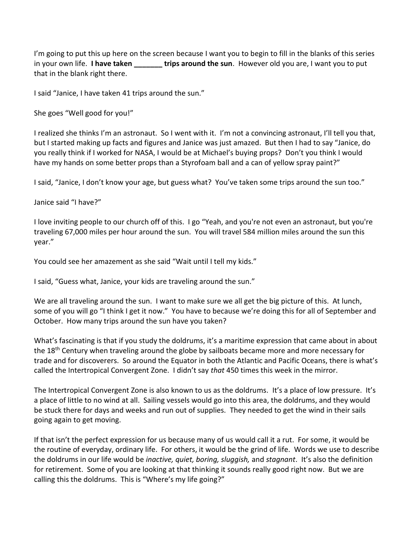I'm going to put this up here on the screen because I want you to begin to fill in the blanks of this series in your own life. **I have taken heart is around the sun**. However old you are, I want you to put that in the blank right there.

I said "Janice, I have taken 41 trips around the sun."

She goes "Well good for you!"

I realized she thinks I'm an astronaut. So I went with it. I'm not a convincing astronaut, I'll tell you that, but I started making up facts and figures and Janice was just amazed. But then I had to say "Janice, do you really think if I worked for NASA, I would be at Michael's buying props? Don't you think I would have my hands on some better props than a Styrofoam ball and a can of yellow spray paint?"

I said, "Janice, I don't know your age, but guess what? You've taken some trips around the sun too."

Janice said "I have?"

I love inviting people to our church off of this. I go "Yeah, and you're not even an astronaut, but you're traveling 67,000 miles per hour around the sun. You will travel 584 million miles around the sun this year."

You could see her amazement as she said "Wait until I tell my kids."

I said, "Guess what, Janice, your kids are traveling around the sun."

We are all traveling around the sun. I want to make sure we all get the big picture of this. At lunch, some of you will go "I think I get it now." You have to because we're doing this for all of September and October. How many trips around the sun have you taken?

What's fascinating is that if you study the doldrums, it's a maritime expression that came about in about the 18<sup>th</sup> Century when traveling around the globe by sailboats became more and more necessary for trade and for discoverers. So around the Equator in both the Atlantic and Pacific Oceans, there is what's called the Intertropical Convergent Zone. I didn't say *that* 450 times this week in the mirror.

The Intertropical Convergent Zone is also known to us as the doldrums. It's a place of low pressure. It's a place of little to no wind at all. Sailing vessels would go into this area, the doldrums, and they would be stuck there for days and weeks and run out of supplies. They needed to get the wind in their sails going again to get moving.

If that isn't the perfect expression for us because many of us would call it a rut. For some, it would be the routine of everyday, ordinary life. For others, it would be the grind of life. Words we use to describe the doldrums in our life would be *inactive, quiet, boring, sluggish,* and *stagnant*. It's also the definition for retirement. Some of you are looking at that thinking it sounds really good right now. But we are calling this the doldrums. This is "Where's my life going?"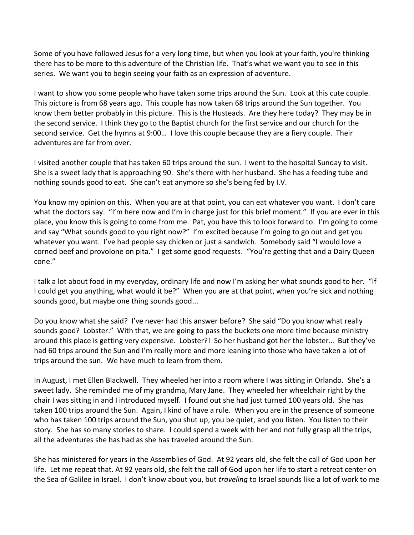Some of you have followed Jesus for a very long time, but when you look at your faith, you're thinking there has to be more to this adventure of the Christian life. That's what we want you to see in this series. We want you to begin seeing your faith as an expression of adventure.

I want to show you some people who have taken some trips around the Sun. Look at this cute couple. This picture is from 68 years ago. This couple has now taken 68 trips around the Sun together. You know them better probably in this picture. This is the Husteads. Are they here today? They may be in the second service. I think they go to the Baptist church for the first service and our church for the second service. Get the hymns at 9:00… I love this couple because they are a fiery couple. Their adventures are far from over.

I visited another couple that has taken 60 trips around the sun. I went to the hospital Sunday to visit. She is a sweet lady that is approaching 90. She's there with her husband. She has a feeding tube and nothing sounds good to eat. She can't eat anymore so she's being fed by I.V.

You know my opinion on this. When you are at that point, you can eat whatever you want. I don't care what the doctors say. "I'm here now and I'm in charge just for this brief moment." If you are ever in this place, you know this is going to come from me. Pat, you have this to look forward to. I'm going to come and say "What sounds good to you right now?" I'm excited because I'm going to go out and get you whatever you want. I've had people say chicken or just a sandwich. Somebody said "I would love a corned beef and provolone on pita." I get some good requests. "You're getting that and a Dairy Queen cone."

I talk a lot about food in my everyday, ordinary life and now I'm asking her what sounds good to her. "If I could get you anything, what would it be?" When you are at that point, when you're sick and nothing sounds good, but maybe one thing sounds good...

Do you know what she said? I've never had this answer before? She said "Do you know what really sounds good? Lobster." With that, we are going to pass the buckets one more time because ministry around this place is getting very expensive. Lobster?! So her husband got her the lobster… But they've had 60 trips around the Sun and I'm really more and more leaning into those who have taken a lot of trips around the sun. We have much to learn from them.

In August, I met Ellen Blackwell. They wheeled her into a room where I was sitting in Orlando. She's a sweet lady. She reminded me of my grandma, Mary Jane. They wheeled her wheelchair right by the chair I was sitting in and I introduced myself. I found out she had just turned 100 years old. She has taken 100 trips around the Sun. Again, I kind of have a rule. When you are in the presence of someone who has taken 100 trips around the Sun, you shut up, you be quiet, and you listen. You listen to their story. She has so many stories to share. I could spend a week with her and not fully grasp all the trips, all the adventures she has had as she has traveled around the Sun.

She has ministered for years in the Assemblies of God. At 92 years old, she felt the call of God upon her life. Let me repeat that. At 92 years old, she felt the call of God upon her life to start a retreat center on the Sea of Galilee in Israel. I don't know about you, but *traveling* to Israel sounds like a lot of work to me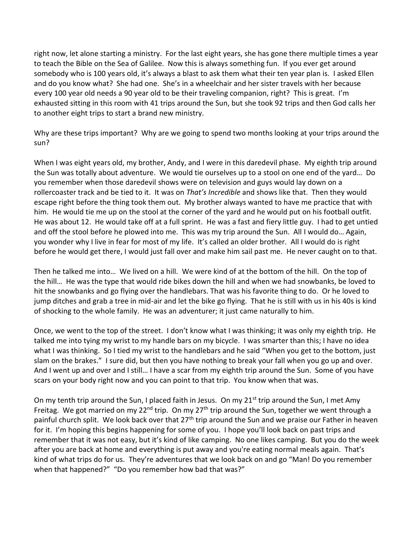right now, let alone starting a ministry. For the last eight years, she has gone there multiple times a year to teach the Bible on the Sea of Galilee. Now this is always something fun. If you ever get around somebody who is 100 years old, it's always a blast to ask them what their ten year plan is. I asked Ellen and do you know what? She had one. She's in a wheelchair and her sister travels with her because every 100 year old needs a 90 year old to be their traveling companion, right? This is great. I'm exhausted sitting in this room with 41 trips around the Sun, but she took 92 trips and then God calls her to another eight trips to start a brand new ministry.

Why are these trips important? Why are we going to spend two months looking at your trips around the sun?

When I was eight years old, my brother, Andy, and I were in this daredevil phase. My eighth trip around the Sun was totally about adventure. We would tie ourselves up to a stool on one end of the yard… Do you remember when those daredevil shows were on television and guys would lay down on a rollercoaster track and be tied to it. It was on *That's Incredible* and shows like that. Then they would escape right before the thing took them out. My brother always wanted to have me practice that with him. He would tie me up on the stool at the corner of the yard and he would put on his football outfit. He was about 12. He would take off at a full sprint. He was a fast and fiery little guy. I had to get untied and off the stool before he plowed into me. This was my trip around the Sun. All I would do… Again, you wonder why I live in fear for most of my life. It's called an older brother. All I would do is right before he would get there, I would just fall over and make him sail past me. He never caught on to that.

Then he talked me into… We lived on a hill. We were kind of at the bottom of the hill. On the top of the hill… He was the type that would ride bikes down the hill and when we had snowbanks, be loved to hit the snowbanks and go flying over the handlebars. That was his favorite thing to do. Or he loved to jump ditches and grab a tree in mid-air and let the bike go flying. That he is still with us in his 40s is kind of shocking to the whole family. He was an adventurer; it just came naturally to him.

Once, we went to the top of the street. I don't know what I was thinking; it was only my eighth trip. He talked me into tying my wrist to my handle bars on my bicycle. I was smarter than this; I have no idea what I was thinking. So I tied my wrist to the handlebars and he said "When you get to the bottom, just slam on the brakes." I sure did, but then you have nothing to break your fall when you go up and over. And I went up and over and I still… I have a scar from my eighth trip around the Sun. Some of you have scars on your body right now and you can point to that trip. You know when that was.

On my tenth trip around the Sun, I placed faith in Jesus. On my 21<sup>st</sup> trip around the Sun, I met Amy Freitag. We got married on my 22<sup>nd</sup> trip. On my 27<sup>th</sup> trip around the Sun, together we went through a painful church split. We look back over that 27<sup>th</sup> trip around the Sun and we praise our Father in heaven for it. I'm hoping this begins happening for some of you. I hope you'll look back on past trips and remember that it was not easy, but it's kind of like camping. No one likes camping. But you do the week after you are back at home and everything is put away and you're eating normal meals again. That's kind of what trips do for us. They're adventures that we look back on and go "Man! Do you remember when that happened?" "Do you remember how bad that was?"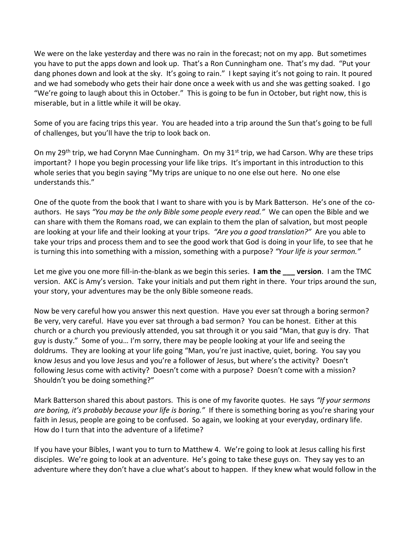We were on the lake yesterday and there was no rain in the forecast; not on my app. But sometimes you have to put the apps down and look up. That's a Ron Cunningham one. That's my dad. "Put your dang phones down and look at the sky. It's going to rain." I kept saying it's not going to rain. It poured and we had somebody who gets their hair done once a week with us and she was getting soaked. I go "We're going to laugh about this in October." This is going to be fun in October, but right now, this is miserable, but in a little while it will be okay.

Some of you are facing trips this year. You are headed into a trip around the Sun that's going to be full of challenges, but you'll have the trip to look back on.

On my 29<sup>th</sup> trip, we had Corynn Mae Cunningham. On my 31<sup>st</sup> trip, we had Carson. Why are these trips important? I hope you begin processing your life like trips. It's important in this introduction to this whole series that you begin saying "My trips are unique to no one else out here. No one else understands this."

One of the quote from the book that I want to share with you is by Mark Batterson. He's one of the coauthors. He says *"You may be the only Bible some people every read."* We can open the Bible and we can share with them the Romans road, we can explain to them the plan of salvation, but most people are looking at your life and their looking at your trips. *"Are you a good translation?"* Are you able to take your trips and process them and to see the good work that God is doing in your life, to see that he is turning this into something with a mission, something with a purpose? *"Your life is your sermon."*

Let me give you one more fill-in-the-blank as we begin this series. **I am the version**. I am the TMC version. AKC is Amy's version. Take your initials and put them right in there. Your trips around the sun, your story, your adventures may be the only Bible someone reads.

Now be very careful how you answer this next question. Have you ever sat through a boring sermon? Be very, very careful. Have you ever sat through a bad sermon? You can be honest. Either at this church or a church you previously attended, you sat through it or you said "Man, that guy is dry. That guy is dusty." Some of you… I'm sorry, there may be people looking at your life and seeing the doldrums. They are looking at your life going "Man, you're just inactive, quiet, boring. You say you know Jesus and you love Jesus and you're a follower of Jesus, but where's the activity? Doesn't following Jesus come with activity? Doesn't come with a purpose? Doesn't come with a mission? Shouldn't you be doing something?"

Mark Batterson shared this about pastors. This is one of my favorite quotes. He says *"If your sermons are boring, it's probably because your life is boring."* If there is something boring as you're sharing your faith in Jesus, people are going to be confused. So again, we looking at your everyday, ordinary life. How do I turn that into the adventure of a lifetime?

If you have your Bibles, I want you to turn to Matthew 4. We're going to look at Jesus calling his first disciples. We're going to look at an adventure. He's going to take these guys on. They say yes to an adventure where they don't have a clue what's about to happen. If they knew what would follow in the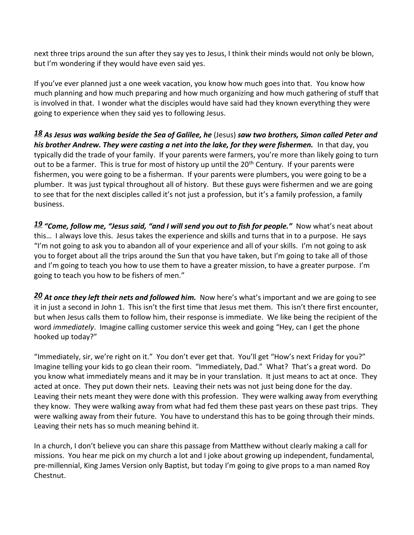next three trips around the sun after they say yes to Jesus, I think their minds would not only be blown, but I'm wondering if they would have even said yes.

If you've ever planned just a one week vacation, you know how much goes into that. You know how much planning and how much preparing and how much organizing and how much gathering of stuff that is involved in that. I wonder what the disciples would have said had they known everything they were going to experience when they said yes to following Jesus.

*[18](http://www.studylight.org/desk/?q=mt%204:18&t1=en_niv&sr=1) As Jesus was walking beside the Sea of Galilee, he* (Jesus) *saw two brothers, Simon called Peter and his brother Andrew. They were casting a net into the lake, for they were fishermen.* In that day, you typically did the trade of your family. If your parents were farmers, you're more than likely going to turn out to be a farmer. This is true for most of history up until the 20<sup>th</sup> Century. If your parents were fishermen, you were going to be a fisherman. If your parents were plumbers, you were going to be a plumber. It was just typical throughout all of history. But these guys were fishermen and we are going to see that for the next disciples called it's not just a profession, but it's a family profession, a family business.

*[19](http://www.studylight.org/desk/?q=mt%204:19&t1=en_niv&sr=1) "Come, follow me, "Jesus said, "and I will send you out to fish for people."* Now what's neat about this… I always love this. Jesus takes the experience and skills and turns that in to a purpose. He says "I'm not going to ask you to abandon all of your experience and all of your skills. I'm not going to ask you to forget about all the trips around the Sun that you have taken, but I'm going to take all of those and I'm going to teach you how to use them to have a greater mission, to have a greater purpose. I'm going to teach you how to be fishers of men."

*[20](http://www.studylight.org/desk/?q=mt%204:20&t1=en_niv&sr=1) At once they left their nets and followed him.* Now here's what's important and we are going to see it in just a second in John 1. This isn't the first time that Jesus met them. This isn't there first encounter, but when Jesus calls them to follow him, their response is immediate. We like being the recipient of the word *immediately*. Imagine calling customer service this week and going "Hey, can I get the phone hooked up today?"

"Immediately, sir, we're right on it." You don't ever get that. You'll get "How's next Friday for you?" Imagine telling your kids to go clean their room. "Immediately, Dad." What? That's a great word. Do you know what immediately means and it may be in your translation. It just means to act at once. They acted at once. They put down their nets. Leaving their nets was not just being done for the day. Leaving their nets meant they were done with this profession. They were walking away from everything they know. They were walking away from what had fed them these past years on these past trips. They were walking away from their future. You have to understand this has to be going through their minds. Leaving their nets has so much meaning behind it.

In a church, I don't believe you can share this passage from Matthew without clearly making a call for missions. You hear me pick on my church a lot and I joke about growing up independent, fundamental, pre-millennial, King James Version only Baptist, but today I'm going to give props to a man named Roy Chestnut.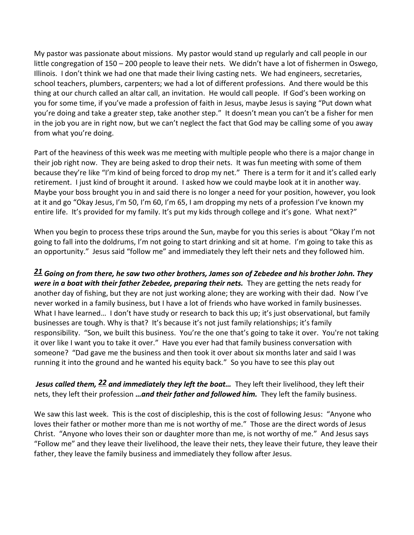My pastor was passionate about missions. My pastor would stand up regularly and call people in our little congregation of 150 – 200 people to leave their nets. We didn't have a lot of fishermen in Oswego, Illinois. I don't think we had one that made their living casting nets. We had engineers, secretaries, school teachers, plumbers, carpenters; we had a lot of different professions. And there would be this thing at our church called an altar call, an invitation. He would call people. If God's been working on you for some time, if you've made a profession of faith in Jesus, maybe Jesus is saying "Put down what you're doing and take a greater step, take another step." It doesn't mean you can't be a fisher for men in the job you are in right now, but we can't neglect the fact that God may be calling some of you away from what you're doing.

Part of the heaviness of this week was me meeting with multiple people who there is a major change in their job right now. They are being asked to drop their nets. It was fun meeting with some of them because they're like "I'm kind of being forced to drop my net." There is a term for it and it's called early retirement. I just kind of brought it around. I asked how we could maybe look at it in another way. Maybe your boss brought you in and said there is no longer a need for your position, however, you look at it and go "Okay Jesus, I'm 50, I'm 60, I'm 65, I am dropping my nets of a profession I've known my entire life. It's provided for my family. It's put my kids through college and it's gone. What next?"

When you begin to process these trips around the Sun, maybe for you this series is about "Okay I'm not going to fall into the doldrums, I'm not going to start drinking and sit at home. I'm going to take this as an opportunity." Jesus said "follow me" and immediately they left their nets and they followed him.

*[21](http://www.studylight.org/desk/?q=mt%204:21&t1=en_niv&sr=1) Going on from there, he saw two other brothers, James son of Zebedee and his brother John. They were in a boat with their father Zebedee, preparing their nets.* They are getting the nets ready for another day of fishing, but they are not just working alone; they are working with their dad. Now I've never worked in a family business, but I have a lot of friends who have worked in family businesses. What I have learned... I don't have study or research to back this up; it's just observational, but family businesses are tough. Why is that? It's because it's not just family relationships; it's family responsibility. "Son, we built this business. You're the one that's going to take it over. You're not taking it over like I want you to take it over." Have you ever had that family business conversation with someone? "Dad gave me the business and then took it over about six months later and said I was running it into the ground and he wanted his equity back." So you have to see this play out

 *Jesus called them, [22](http://www.studylight.org/desk/?q=mt%204:22&t1=en_niv&sr=1) and immediately they left the boat…* They left their livelihood, they left their nets, they left their profession *…and their father and followed him.* They left the family business.

We saw this last week. This is the cost of discipleship, this is the cost of following Jesus: "Anyone who loves their father or mother more than me is not worthy of me." Those are the direct words of Jesus Christ. "Anyone who loves their son or daughter more than me, is not worthy of me." And Jesus says "Follow me" and they leave their livelihood, the leave their nets, they leave their future, they leave their father, they leave the family business and immediately they follow after Jesus.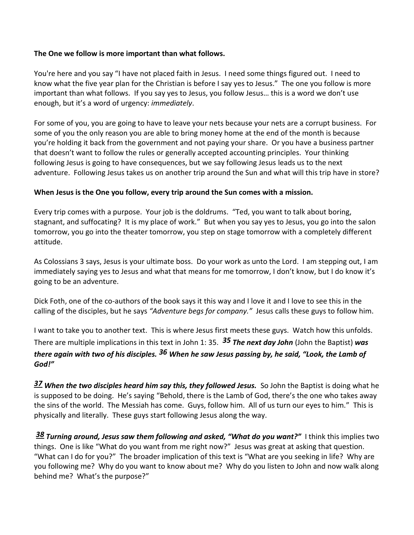#### **The One we follow is more important than what follows.**

You're here and you say "I have not placed faith in Jesus. I need some things figured out. I need to know what the five year plan for the Christian is before I say yes to Jesus." The one you follow is more important than what follows. If you say yes to Jesus, you follow Jesus… this is a word we don't use enough, but it's a word of urgency: *immediately*.

For some of you, you are going to have to leave your nets because your nets are a corrupt business. For some of you the only reason you are able to bring money home at the end of the month is because you're holding it back from the government and not paying your share. Or you have a business partner that doesn't want to follow the rules or generally accepted accounting principles. Your thinking following Jesus is going to have consequences, but we say following Jesus leads us to the next adventure. Following Jesus takes us on another trip around the Sun and what will this trip have in store?

#### **When Jesus is the One you follow, every trip around the Sun comes with a mission.**

Every trip comes with a purpose. Your job is the doldrums. "Ted, you want to talk about boring, stagnant, and suffocating? It is my place of work." But when you say yes to Jesus, you go into the salon tomorrow, you go into the theater tomorrow, you step on stage tomorrow with a completely different attitude.

As Colossians 3 says, Jesus is your ultimate boss. Do your work as unto the Lord. I am stepping out, I am immediately saying yes to Jesus and what that means for me tomorrow, I don't know, but I do know it's going to be an adventure.

Dick Foth, one of the co-authors of the book says it this way and I love it and I love to see this in the calling of the disciples, but he says *"Adventure begs for company."* Jesus calls these guys to follow him.

I want to take you to another text. This is where Jesus first meets these guys. Watch how this unfolds. There are multiple implications in this text in John 1: 35. *[35](http://www.studylight.org/desk/?q=joh%201:35&t1=en_niv&sr=1) The next day John* (John the Baptist) *was there again with two of his disciples. [36](http://www.studylight.org/desk/?q=joh%201:36&t1=en_niv&sr=1) When he saw Jesus passing by, he said, "Look, the Lamb of God!"*

*[37](http://www.studylight.org/desk/?q=joh%201:37&t1=en_niv&sr=1) When the two disciples heard him say this, they followed Jesus.* So John the Baptist is doing what he is supposed to be doing. He's saying "Behold, there is the Lamb of God, there's the one who takes away the sins of the world. The Messiah has come. Guys, follow him. All of us turn our eyes to him." This is physically and literally. These guys start following Jesus along the way.

*[38](http://www.studylight.org/desk/?q=joh%201:38&t1=en_niv&sr=1) Turning around, Jesus saw them following and asked, "What do you want?"* I think this implies two things. One is like "What do you want from me right now?" Jesus was great at asking that question. "What can I do for you?" The broader implication of this text is "What are you seeking in life? Why are you following me? Why do you want to know about me? Why do you listen to John and now walk along behind me? What's the purpose?"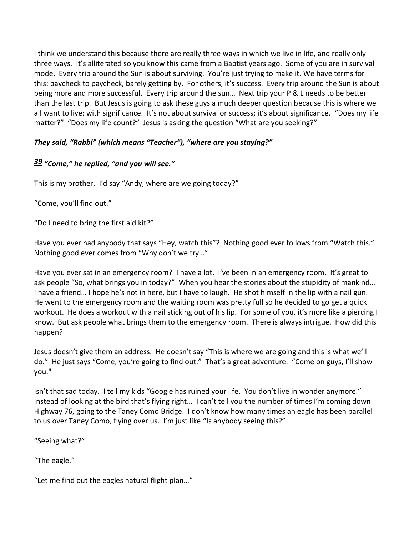I think we understand this because there are really three ways in which we live in life, and really only three ways. It's alliterated so you know this came from a Baptist years ago. Some of you are in survival mode. Every trip around the Sun is about surviving. You're just trying to make it. We have terms for this: paycheck to paycheck, barely getting by. For others, it's success. Every trip around the Sun is about being more and more successful. Every trip around the sun… Next trip your P & L needs to be better than the last trip. But Jesus is going to ask these guys a much deeper question because this is where we all want to live: with significance. It's not about survival or success; it's about significance. "Does my life matter?" "Does my life count?" Jesus is asking the question "What are you seeking?"

## *They said, "Rabbi" (which means "Teacher"), "where are you staying?"*

# *[39](http://www.studylight.org/desk/?q=joh%201:39&t1=en_niv&sr=1) "Come," he replied, "and you will see."*

This is my brother. I'd say "Andy, where are we going today?"

"Come, you'll find out."

"Do I need to bring the first aid kit?"

Have you ever had anybody that says "Hey, watch this"? Nothing good ever follows from "Watch this." Nothing good ever comes from "Why don't we try…"

Have you ever sat in an emergency room? I have a lot. I've been in an emergency room. It's great to ask people "So, what brings you in today?" When you hear the stories about the stupidity of mankind… I have a friend… I hope he's not in here, but I have to laugh. He shot himself in the lip with a nail gun. He went to the emergency room and the waiting room was pretty full so he decided to go get a quick workout. He does a workout with a nail sticking out of his lip. For some of you, it's more like a piercing I know. But ask people what brings them to the emergency room. There is always intrigue. How did this happen?

Jesus doesn't give them an address. He doesn't say "This is where we are going and this is what we'll do." He just says "Come, you're going to find out." That's a great adventure. "Come on guys, I'll show you."

Isn't that sad today. I tell my kids "Google has ruined your life. You don't live in wonder anymore." Instead of looking at the bird that's flying right… I can't tell you the number of times I'm coming down Highway 76, going to the Taney Como Bridge. I don't know how many times an eagle has been parallel to us over Taney Como, flying over us. I'm just like "Is anybody seeing this?"

"Seeing what?"

"The eagle."

"Let me find out the eagles natural flight plan…"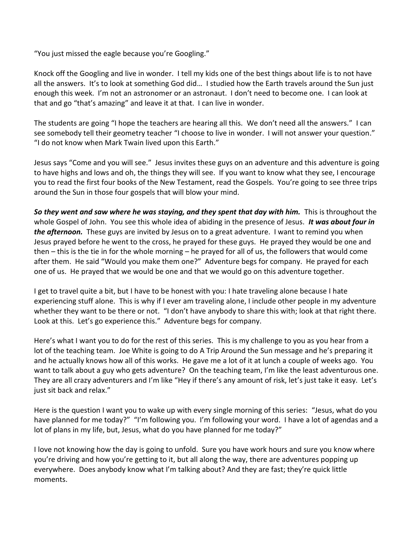"You just missed the eagle because you're Googling."

Knock off the Googling and live in wonder. I tell my kids one of the best things about life is to not have all the answers. It's to look at something God did… I studied how the Earth travels around the Sun just enough this week. I'm not an astronomer or an astronaut. I don't need to become one. I can look at that and go "that's amazing" and leave it at that. I can live in wonder.

The students are going "I hope the teachers are hearing all this. We don't need all the answers." I can see somebody tell their geometry teacher "I choose to live in wonder. I will not answer your question." "I do not know when Mark Twain lived upon this Earth."

Jesus says "Come and you will see." Jesus invites these guys on an adventure and this adventure is going to have highs and lows and oh, the things they will see. If you want to know what they see, I encourage you to read the first four books of the New Testament, read the Gospels. You're going to see three trips around the Sun in those four gospels that will blow your mind.

*So they went and saw where he was staying, and they spent that day with him.* This is throughout the whole Gospel of John. You see this whole idea of abiding in the presence of Jesus. *It was about four in the afternoon.* These guys are invited by Jesus on to a great adventure. I want to remind you when Jesus prayed before he went to the cross, he prayed for these guys. He prayed they would be one and then – this is the tie in for the whole morning – he prayed for all of us, the followers that would come after them. He said "Would you make them one?" Adventure begs for company. He prayed for each one of us. He prayed that we would be one and that we would go on this adventure together.

I get to travel quite a bit, but I have to be honest with you: I hate traveling alone because I hate experiencing stuff alone. This is why if I ever am traveling alone, I include other people in my adventure whether they want to be there or not. "I don't have anybody to share this with; look at that right there. Look at this. Let's go experience this." Adventure begs for company.

Here's what I want you to do for the rest of this series. This is my challenge to you as you hear from a lot of the teaching team. Joe White is going to do A Trip Around the Sun message and he's preparing it and he actually knows how all of this works. He gave me a lot of it at lunch a couple of weeks ago. You want to talk about a guy who gets adventure? On the teaching team, I'm like the least adventurous one. They are all crazy adventurers and I'm like "Hey if there's any amount of risk, let's just take it easy. Let's just sit back and relax."

Here is the question I want you to wake up with every single morning of this series: "Jesus, what do you have planned for me today?" "I'm following you. I'm following your word. I have a lot of agendas and a lot of plans in my life, but, Jesus, what do you have planned for me today?"

I love not knowing how the day is going to unfold. Sure you have work hours and sure you know where you're driving and how you're getting to it, but all along the way, there are adventures popping up everywhere. Does anybody know what I'm talking about? And they are fast; they're quick little moments.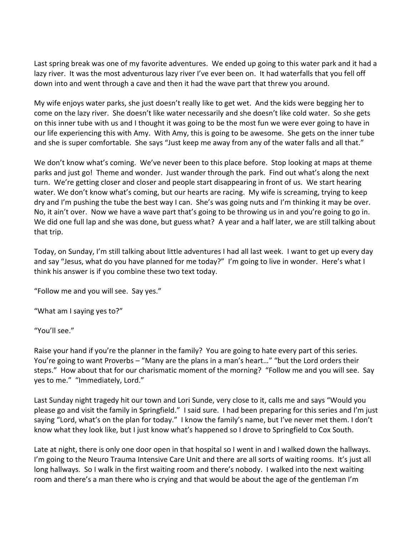Last spring break was one of my favorite adventures. We ended up going to this water park and it had a lazy river. It was the most adventurous lazy river I've ever been on. It had waterfalls that you fell off down into and went through a cave and then it had the wave part that threw you around.

My wife enjoys water parks, she just doesn't really like to get wet. And the kids were begging her to come on the lazy river. She doesn't like water necessarily and she doesn't like cold water. So she gets on this inner tube with us and I thought it was going to be the most fun we were ever going to have in our life experiencing this with Amy. With Amy, this is going to be awesome. She gets on the inner tube and she is super comfortable. She says "Just keep me away from any of the water falls and all that."

We don't know what's coming. We've never been to this place before. Stop looking at maps at theme parks and just go! Theme and wonder. Just wander through the park. Find out what's along the next turn. We're getting closer and closer and people start disappearing in front of us. We start hearing water. We don't know what's coming, but our hearts are racing. My wife is screaming, trying to keep dry and I'm pushing the tube the best way I can. She's was going nuts and I'm thinking it may be over. No, it ain't over. Now we have a wave part that's going to be throwing us in and you're going to go in. We did one full lap and she was done, but guess what? A year and a half later, we are still talking about that trip.

Today, on Sunday, I'm still talking about little adventures I had all last week. I want to get up every day and say "Jesus, what do you have planned for me today?" I'm going to live in wonder. Here's what I think his answer is if you combine these two text today.

"Follow me and you will see. Say yes."

"What am I saying yes to?"

"You'll see."

Raise your hand if you're the planner in the family? You are going to hate every part of this series. You're going to want Proverbs – "Many are the plans in a man's heart…" "but the Lord orders their steps." How about that for our charismatic moment of the morning? "Follow me and you will see. Say yes to me." "Immediately, Lord."

Last Sunday night tragedy hit our town and Lori Sunde, very close to it, calls me and says "Would you please go and visit the family in Springfield." I said sure. I had been preparing for this series and I'm just saying "Lord, what's on the plan for today." I know the family's name, but I've never met them. I don't know what they look like, but I just know what's happened so I drove to Springfield to Cox South.

Late at night, there is only one door open in that hospital so I went in and I walked down the hallways. I'm going to the Neuro Trauma Intensive Care Unit and there are all sorts of waiting rooms. It's just all long hallways. So I walk in the first waiting room and there's nobody. I walked into the next waiting room and there's a man there who is crying and that would be about the age of the gentleman I'm